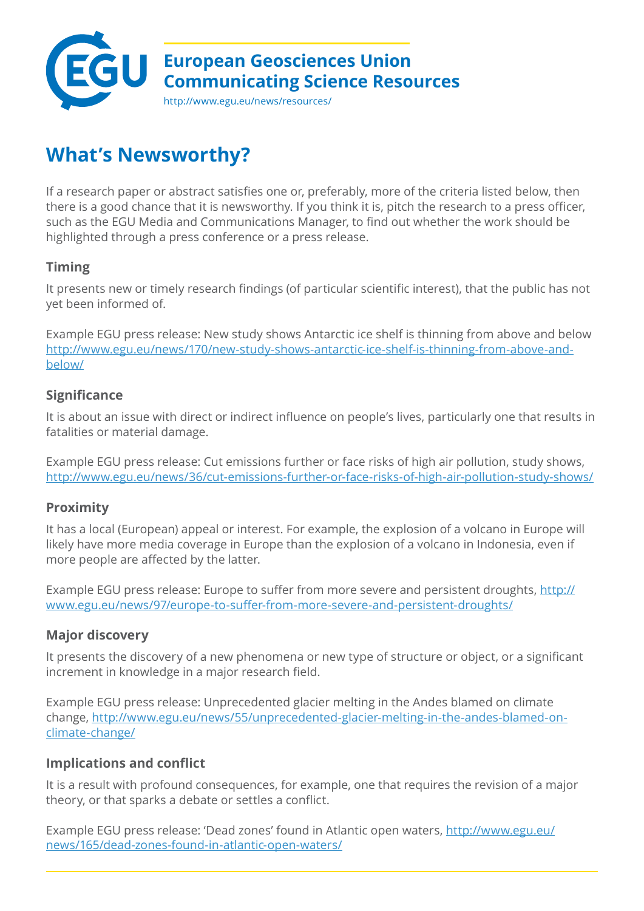

# **What's Newsworthy?**

If a research paper or abstract satisfies one or, preferably, more of the criteria listed below, then there is a good chance that it is newsworthy. If you think it is, pitch the research to a press officer, such as the EGU Media and Communications Manager, to find out whether the work should be highlighted through a press conference or a press release.

# **Timing**

It presents new or timely research findings (of particular scientific interest), that the public has not yet been informed of.

Example EGU press release: New study shows Antarctic ice shelf is thinning from above and below [http://www.egu.eu/news/170/new-study-shows-antarctic-ice-shelf-is-thinning-from-above-and](http://www.egu.eu/news/170/new-study-shows-antarctic-ice-shelf-is-thinning-from-above-and-below/)[below/](http://www.egu.eu/news/170/new-study-shows-antarctic-ice-shelf-is-thinning-from-above-and-below/)

## **Significance**

It is about an issue with direct or indirect influence on people's lives, particularly one that results in fatalities or material damage.

Example EGU press release: Cut emissions further or face risks of high air pollution, study shows, <http://www.egu.eu/news/36/cut-emissions-further-or-face-risks-of-high-air-pollution-study-shows/>

## **Proximity**

It has a local (European) appeal or interest. For example, the explosion of a volcano in Europe will likely have more media coverage in Europe than the explosion of a volcano in Indonesia, even if more people are affected by the latter.

Example EGU press release: Europe to suffer from more severe and persistent droughts, [http://](http://www.egu.eu/news/97/europe-to-suffer-from-more-severe-and-persistent-droughts/) [www.egu.eu/news/97/europe-to-suffer-from-more-severe-and-persistent-droughts/](http://www.egu.eu/news/97/europe-to-suffer-from-more-severe-and-persistent-droughts/)

## **Major discovery**

It presents the discovery of a new phenomena or new type of structure or object, or a significant increment in knowledge in a major research field.

Example EGU press release: Unprecedented glacier melting in the Andes blamed on climate change, [http://www.egu.eu/news/55/unprecedented-glacier-melting-in-the-andes-blamed-on](http://www.egu.eu/news/55/unprecedented-glacier-melting-in-the-andes-blamed-on-climate-change/)[climate-change/](http://www.egu.eu/news/55/unprecedented-glacier-melting-in-the-andes-blamed-on-climate-change/)

## **Implications and conflict**

It is a result with profound consequences, for example, one that requires the revision of a major theory, or that sparks a debate or settles a conflict.

Example EGU press release: 'Dead zones' found in Atlantic open waters, [http://www.egu.eu/](http://www.egu.eu/news/165/dead-zones-found-in-atlantic-open-waters/) [news/165/dead-zones-found-in-atlantic-open-waters/](http://www.egu.eu/news/165/dead-zones-found-in-atlantic-open-waters/)